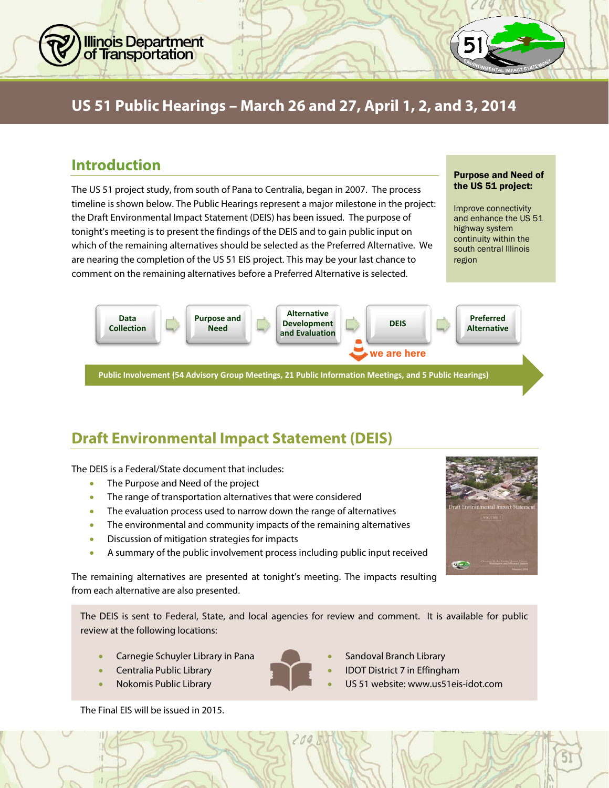

# **US 51 Public Hearings – March 26 and 27, April 1, 2, and 3, 2014**

#### **Introduction**

The US 51 project study, from south of Pana to Centralia, began in 2007. The process timeline is shown below. The Public Hearings represent a major milestone in the project: the Draft Environmental Impact Statement (DEIS) has been issued. The purpose of tonight's meeting is to present the findings of the DEIS and to gain public input on which of the remaining alternatives should be selected as the Preferred Alternative. We are nearing the completion of the US 51 EIS project. This may be your last chance to comment on the remaining alternatives before a Preferred Alternative is selected.

#### Purpose and Need of the US 51 project:

Improve connectivity and enhance the US 51 highway system continuity within the south central Illinois region



# **Draft Environmental Impact Statement (DEIS)**

The DEIS is a Federal/State document that includes:

- The Purpose and Need of the project
- The range of transportation alternatives that were considered
- The evaluation process used to narrow down the range of alternatives
- The environmental and community impacts of the remaining alternatives
- Discussion of mitigation strategies for impacts
- A summary of the public involvement process including public input received

The remaining alternatives are presented at tonight's meeting. The impacts resulting from each alternative are also presented.

The DEIS is sent to Federal, State, and local agencies for review and comment. It is available for public review at the following locations:

- Carnegie Schuyler Library in Pana **Sandoval Branch Library** Carnegie Schuyler Library
- 
- 

The Final EIS will be issued in 2015.

- 
- 
- Centralia Public Library **Internalia Public Library Centralia Public Library IDOT District 7 in Effingham**
- Nokomis Public Library US 51 website: www.us51eis-idot.com

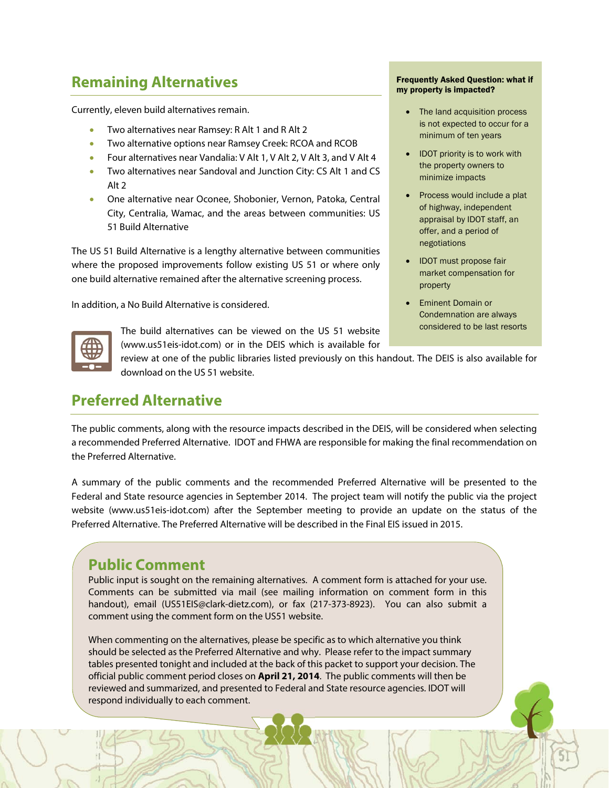### **Remaining Alternatives**

Currently, eleven build alternatives remain.

- Two alternatives near Ramsey: R Alt 1 and R Alt 2
- Two alternative options near Ramsey Creek: RCOA and RCOB
- Four alternatives near Vandalia: V Alt 1, V Alt 2, V Alt 3, and V Alt 4
- Two alternatives near Sandoval and Junction City: CS Alt 1 and CS Alt 2
- One alternative near Oconee, Shobonier, Vernon, Patoka, Central City, Centralia, Wamac, and the areas between communities: US 51 Build Alternative

The US 51 Build Alternative is a lengthy alternative between communities where the proposed improvements follow existing US 51 or where only one build alternative remained after the alternative screening process.

In addition, a No Build Alternative is considered.



The build alternatives can be viewed on the US 51 website (www.us51eis-idot.com) or in the DEIS which is available for Frequently Asked Question: what if my property is impacted?

- The land acquisition process is not expected to occur for a minimum of ten years
- IDOT priority is to work with the property owners to minimize impacts
- Process would include a plat of highway, independent appraisal by IDOT staff, an offer, and a period of negotiations
- IDOT must propose fair market compensation for property
- **•** Eminent Domain or Condemnation are always considered to be last resorts

review at one of the public libraries listed previously on this handout. The DEIS is also available for download on the US 51 website.

## **Preferred Alternative**

The public comments, along with the resource impacts described in the DEIS, will be considered when selecting a recommended Preferred Alternative. IDOT and FHWA are responsible for making the final recommendation on the Preferred Alternative.

A summary of the public comments and the recommended Preferred Alternative will be presented to the Federal and State resource agencies in September 2014. The project team will notify the public via the project website (www.us51eis-idot.com) after the September meeting to provide an update on the status of the Preferred Alternative. The Preferred Alternative will be described in the Final EIS issued in 2015.

#### **Public Comment**

Public input is sought on the remaining alternatives. A comment form is attached for your use. Comments can be submitted via mail (see mailing information on comment form in this handout), email (US51EIS@clark-dietz.com), or fax (217-373-8923). You can also submit a comment using the comment form on the US51 website.

When commenting on the alternatives, please be specific as to which alternative you think should be selected as the Preferred Alternative and why. Please refer to the impact summary tables presented tonight and included at the back of this packet to support your decision. The official public comment period closes on **April 21, 2014**. The public comments will then be reviewed and summarized, and presented to Federal and State resource agencies. IDOT will respond individually to each comment.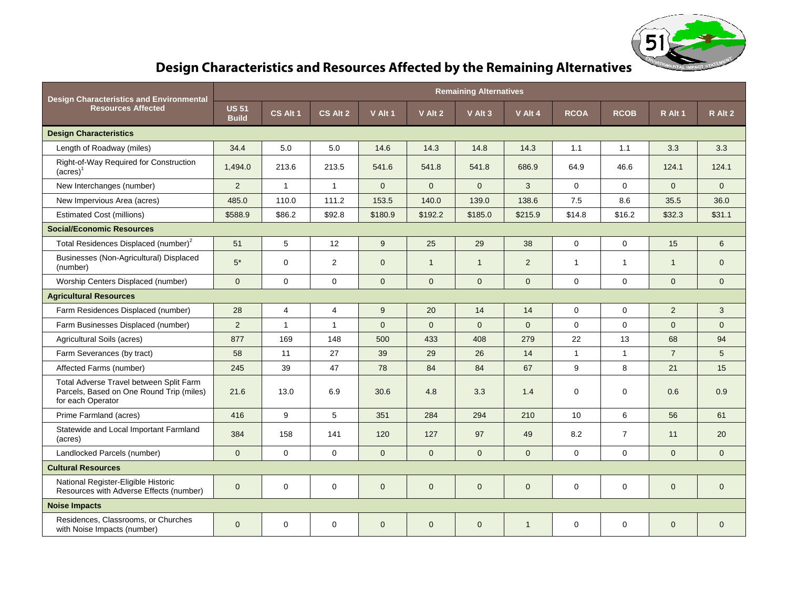

# **Design Characteristics and Resources Affected by the Remaining Alternatives**

| <b>Design Characteristics and Environmental</b><br><b>Resources Affected</b>                             | <b>Remaining Alternatives</b> |              |                |              |                |              |              |                  |                |                |              |
|----------------------------------------------------------------------------------------------------------|-------------------------------|--------------|----------------|--------------|----------------|--------------|--------------|------------------|----------------|----------------|--------------|
|                                                                                                          | <b>US 51</b><br><b>Build</b>  | CS Alt 1     | CS Alt 2       | V Alt 1      | V Alt 2        | V Alt 3      | V Alt 4      | <b>RCOA</b>      | <b>RCOB</b>    | R Alt 1        | R Alt 2      |
| <b>Design Characteristics</b>                                                                            |                               |              |                |              |                |              |              |                  |                |                |              |
| Length of Roadway (miles)                                                                                | 34.4                          | 5.0          | 5.0            | 14.6         | 14.3           | 14.8         | 14.3         | 1.1              | 1.1            | 3.3            | 3.3          |
| Right-of-Way Required for Construction<br>$(acres)$ <sup>1</sup>                                         | 1,494.0                       | 213.6        | 213.5          | 541.6        | 541.8          | 541.8        | 686.9        | 64.9             | 46.6           | 124.1          | 124.1        |
| New Interchanges (number)                                                                                | 2                             | $\mathbf{1}$ | $\mathbf{1}$   | $\Omega$     | $\Omega$       | $\Omega$     | 3            | $\mathbf{0}$     | $\Omega$       | $\overline{0}$ | $\Omega$     |
| New Impervious Area (acres)                                                                              | 485.0                         | 110.0        | 111.2          | 153.5        | 140.0          | 139.0        | 138.6        | 7.5              | 8.6            | 35.5           | 36.0         |
| <b>Estimated Cost (millions)</b>                                                                         | \$588.9                       | \$86.2       | \$92.8         | \$180.9      | \$192.2        | \$185.0      | \$215.9      | \$14.8           | \$16.2         | \$32.3         | \$31.1       |
| <b>Social/Economic Resources</b>                                                                         |                               |              |                |              |                |              |              |                  |                |                |              |
| Total Residences Displaced (number) <sup>2</sup>                                                         | 51                            | 5            | 12             | 9            | 25             | 29           | 38           | $\mathbf 0$      | $\mathbf 0$    | 15             | 6            |
| Businesses (Non-Agricultural) Displaced<br>(number)                                                      | $5*$                          | 0            | 2              | $\mathbf{0}$ | $\overline{1}$ | $\mathbf{1}$ | 2            | $\mathbf{1}$     | $\mathbf{1}$   | $\mathbf{1}$   | $\mathbf{0}$ |
| Worship Centers Displaced (number)                                                                       | $\mathbf{0}$                  | $\mathbf 0$  | $\mathbf 0$    | $\mathbf{0}$ | $\overline{0}$ | $\mathbf{0}$ | $\Omega$     | $\Omega$         | $\mathbf 0$    | $\mathbf{0}$   | $\mathbf{0}$ |
| <b>Agricultural Resources</b>                                                                            |                               |              |                |              |                |              |              |                  |                |                |              |
| Farm Residences Displaced (number)                                                                       | 28                            | 4            | $\overline{4}$ | 9            | 20             | 14           | 14           | $\Omega$         | $\mathbf{0}$   | $\overline{2}$ | 3            |
| Farm Businesses Displaced (number)                                                                       | 2                             | $\mathbf{1}$ | $\mathbf{1}$   | $\Omega$     | $\Omega$       | $\Omega$     | $\Omega$     | $\Omega$         | $\Omega$       | $\Omega$       | $\Omega$     |
| Agricultural Soils (acres)                                                                               | 877                           | 169          | 148            | 500          | 433            | 408          | 279          | 22               | 13             | 68             | 94           |
| Farm Severances (by tract)                                                                               | 58                            | 11           | 27             | 39           | 29             | 26           | 14           | $\mathbf 1$      | $\overline{1}$ | $\overline{7}$ | 5            |
| Affected Farms (number)                                                                                  | 245                           | 39           | 47             | 78           | 84             | 84           | 67           | 9                | 8              | 21             | 15           |
| Total Adverse Travel between Split Farm<br>Parcels, Based on One Round Trip (miles)<br>for each Operator | 21.6                          | 13.0         | 6.9            | 30.6         | 4.8            | 3.3          | 1.4          | $\Omega$         | $\mathbf{0}$   | 0.6            | 0.9          |
| Prime Farmland (acres)                                                                                   | 416                           | 9            | $\sqrt{5}$     | 351          | 284            | 294          | 210          | 10 <sup>10</sup> | 6              | 56             | 61           |
| Statewide and Local Important Farmland<br>(acres)                                                        | 384                           | 158          | 141            | 120          | 127            | 97           | 49           | 8.2              | $\overline{7}$ | 11             | 20           |
| Landlocked Parcels (number)                                                                              | $\Omega$                      | $\Omega$     | $\Omega$       | $\Omega$     | $\Omega$       | $\Omega$     | $\Omega$     | $\Omega$         | $\Omega$       | $\Omega$       | $\Omega$     |
| <b>Cultural Resources</b>                                                                                |                               |              |                |              |                |              |              |                  |                |                |              |
| National Register-Eligible Historic<br>Resources with Adverse Effects (number)                           | $\mathbf 0$                   | 0            | $\mathbf 0$    | $\mathbf 0$  | $\mathbf{0}$   | $\mathbf 0$  | $\mathbf{0}$ | $\mathbf 0$      | $\mathbf 0$    | $\mathbf 0$    | $\mathbf{0}$ |
| <b>Noise Impacts</b>                                                                                     |                               |              |                |              |                |              |              |                  |                |                |              |
| Residences, Classrooms, or Churches<br>with Noise Impacts (number)                                       | $\mathbf{0}$                  | $\mathbf 0$  | $\mathbf 0$    | $\mathbf 0$  | $\mathbf{0}$   | $\mathbf{0}$ | $\mathbf{1}$ | $\mathbf 0$      | $\mathbf 0$    | $\mathbf{0}$   | $\mathbf 0$  |